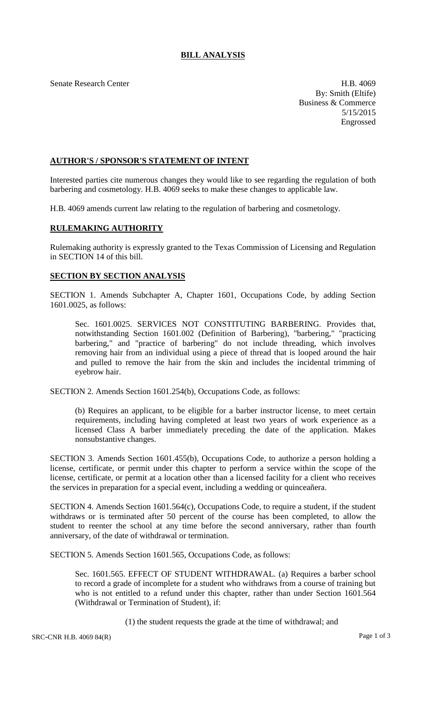## **BILL ANALYSIS**

Senate Research Center **H.B. 4069** 

By: Smith (Eltife) Business & Commerce 5/15/2015 Engrossed

## **AUTHOR'S / SPONSOR'S STATEMENT OF INTENT**

Interested parties cite numerous changes they would like to see regarding the regulation of both barbering and cosmetology. H.B. 4069 seeks to make these changes to applicable law.

H.B. 4069 amends current law relating to the regulation of barbering and cosmetology.

## **RULEMAKING AUTHORITY**

Rulemaking authority is expressly granted to the Texas Commission of Licensing and Regulation in SECTION 14 of this bill.

## **SECTION BY SECTION ANALYSIS**

SECTION 1. Amends Subchapter A, Chapter 1601, Occupations Code, by adding Section 1601.0025, as follows:

Sec. 1601.0025. SERVICES NOT CONSTITUTING BARBERING. Provides that, notwithstanding Section 1601.002 (Definition of Barbering), "barbering," "practicing barbering," and "practice of barbering" do not include threading, which involves removing hair from an individual using a piece of thread that is looped around the hair and pulled to remove the hair from the skin and includes the incidental trimming of eyebrow hair.

SECTION 2. Amends Section 1601.254(b), Occupations Code, as follows:

(b) Requires an applicant, to be eligible for a barber instructor license, to meet certain requirements, including having completed at least two years of work experience as a licensed Class A barber immediately preceding the date of the application. Makes nonsubstantive changes.

SECTION 3. Amends Section 1601.455(b), Occupations Code, to authorize a person holding a license, certificate, or permit under this chapter to perform a service within the scope of the license, certificate, or permit at a location other than a licensed facility for a client who receives the services in preparation for a special event, including a wedding or quinceañera.

SECTION 4. Amends Section 1601.564(c), Occupations Code, to require a student, if the student withdraws or is terminated after 50 percent of the course has been completed, to allow the student to reenter the school at any time before the second anniversary, rather than fourth anniversary, of the date of withdrawal or termination.

SECTION 5. Amends Section 1601.565, Occupations Code, as follows:

Sec. 1601.565. EFFECT OF STUDENT WITHDRAWAL. (a) Requires a barber school to record a grade of incomplete for a student who withdraws from a course of training but who is not entitled to a refund under this chapter, rather than under Section 1601.564 (Withdrawal or Termination of Student), if:

(1) the student requests the grade at the time of withdrawal; and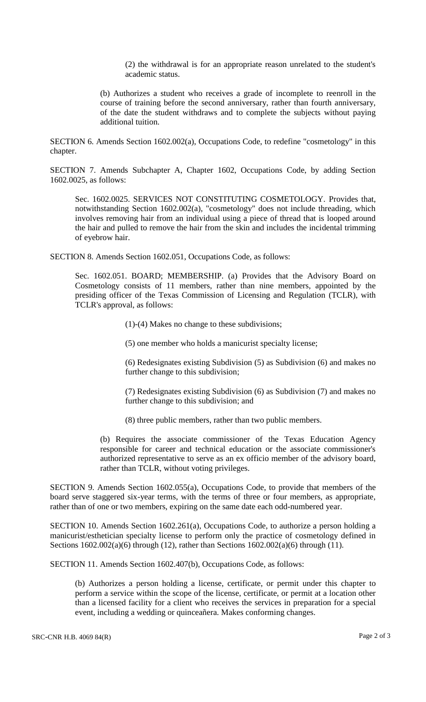(2) the withdrawal is for an appropriate reason unrelated to the student's academic status.

(b) Authorizes a student who receives a grade of incomplete to reenroll in the course of training before the second anniversary, rather than fourth anniversary, of the date the student withdraws and to complete the subjects without paying additional tuition.

SECTION 6. Amends Section 1602.002(a), Occupations Code, to redefine "cosmetology" in this chapter.

SECTION 7. Amends Subchapter A, Chapter 1602, Occupations Code, by adding Section 1602.0025, as follows:

Sec. 1602.0025. SERVICES NOT CONSTITUTING COSMETOLOGY. Provides that, notwithstanding Section 1602.002(a), "cosmetology" does not include threading, which involves removing hair from an individual using a piece of thread that is looped around the hair and pulled to remove the hair from the skin and includes the incidental trimming of eyebrow hair.

SECTION 8. Amends Section 1602.051, Occupations Code, as follows:

Sec. 1602.051. BOARD; MEMBERSHIP. (a) Provides that the Advisory Board on Cosmetology consists of 11 members, rather than nine members, appointed by the presiding officer of the Texas Commission of Licensing and Regulation (TCLR), with TCLR's approval, as follows:

(1)-(4) Makes no change to these subdivisions;

(5) one member who holds a manicurist specialty license;

(6) Redesignates existing Subdivision (5) as Subdivision (6) and makes no further change to this subdivision;

(7) Redesignates existing Subdivision (6) as Subdivision (7) and makes no further change to this subdivision; and

(8) three public members, rather than two public members.

(b) Requires the associate commissioner of the Texas Education Agency responsible for career and technical education or the associate commissioner's authorized representative to serve as an ex officio member of the advisory board, rather than TCLR, without voting privileges.

SECTION 9. Amends Section 1602.055(a), Occupations Code, to provide that members of the board serve staggered six-year terms, with the terms of three or four members, as appropriate, rather than of one or two members, expiring on the same date each odd-numbered year.

SECTION 10. Amends Section 1602.261(a), Occupations Code, to authorize a person holding a manicurist/esthetician specialty license to perform only the practice of cosmetology defined in Sections 1602.002(a)(6) through (12), rather than Sections 1602.002(a)(6) through (11).

SECTION 11. Amends Section 1602.407(b), Occupations Code, as follows:

(b) Authorizes a person holding a license, certificate, or permit under this chapter to perform a service within the scope of the license, certificate, or permit at a location other than a licensed facility for a client who receives the services in preparation for a special event, including a wedding or quinceañera. Makes conforming changes.